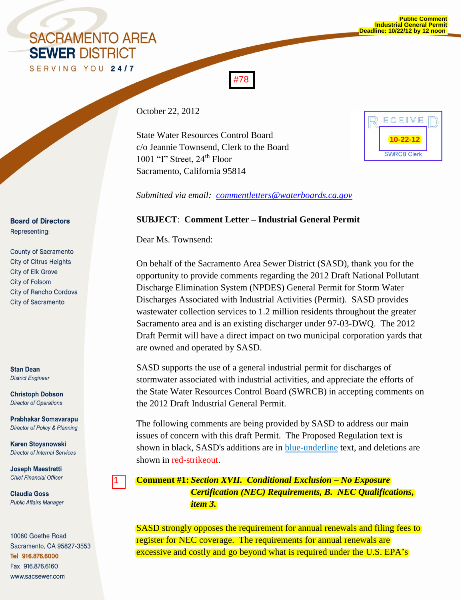## **SACRAMENTO AREA SEWER DISTRICT**

October 22, 2012

State Water Resources Control Board c/o Jeannie Townsend, Clerk to the Board 1001 "I" Street,  $24<sup>th</sup>$  Floor Sacramento, California 95814

| ECEIVE             |  |
|--------------------|--|
|                    |  |
| <b>SWRCB Clerk</b> |  |

*Submitted via email: [commentletters@waterboards.ca.gov](mailto:commentletters@waterboards.ca.gov)*

#78

## **SUBJECT**: **Comment Letter – Industrial General Permit**

Dear Ms. Townsend:

On behalf of the Sacramento Area Sewer District (SASD), thank you for the opportunity to provide comments regarding the 2012 Draft National Pollutant Discharge Elimination System (NPDES) General Permit for Storm Water Discharges Associated with Industrial Activities (Permit). SASD provides wastewater collection services to 1.2 million residents throughout the greater Sacramento area and is an existing discharger under 97-03-DWQ. The 2012 Draft Permit will have a direct impact on two municipal corporation yards that are owned and operated by SASD.

SASD supports the use of a general industrial permit for discharges of stormwater associated with industrial activities, and appreciate the efforts of the State Water Resources Control Board (SWRCB) in accepting comments on the 2012 Draft Industrial General Permit.

The following comments are being provided by SASD to address our main issues of concern with this draft Permit. The Proposed Regulation text is shown in black, SASD's additions are in **blue-underline** text, and deletions are shown in red-strikeout.

## **Comment #1:** *Section XVII. Conditional Exclusion – No Exposure Certification (NEC) Requirements, B. NEC Qualifications, item 3.*

SASD strongly opposes the requirement for annual renewals and filing fees to register for NEC coverage. The requirements for annual renewals are excessive and costly and go beyond what is required under the U.S. EPA's

**Board of Directors** Representing:

**County of Sacramento City of Citrus Heights City of Elk Grove** City of Folsom City of Rancho Cordova City of Sacramento

**Stan Dean District Engineer** 

**Christoph Dobson Director of Operations** 

**Prabhakar Somavarapu** Director of Policy & Planning

**Karen Stoyanowski Director of Internal Services** 

1

**Joseph Maestretti Chief Financial Officer** 

**Claudia Goss Public Affairs Manager** 

10060 Goethe Road Sacramento, CA 95827-3553 Tel 916.876.6000 Fax 916.876.6160 www.sacsewer.com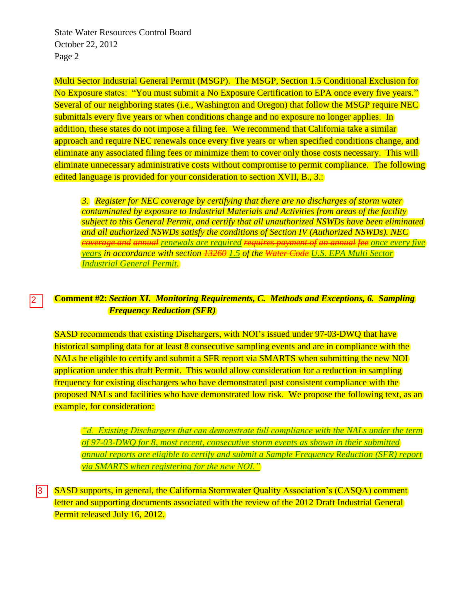State Water Resources Control Board October 22, 2012 Page 2

Multi Sector Industrial General Permit (MSGP). The MSGP, Section 1.5 Conditional Exclusion for No Exposure states: "You must submit a No Exposure Certification to EPA once every five years." Several of our neighboring states (i.e., Washington and Oregon) that follow the MSGP require NEC submittals every five years or when conditions change and no exposure no longer applies. In addition, these states do not impose a filing fee. We recommend that California take a similar approach and require NEC renewals once every five years or when specified conditions change, and eliminate any associated filing fees or minimize them to cover only those costs necessary. This will eliminate unnecessary administrative costs without compromise to permit compliance. The following edited language is provided for your consideration to section XVII, B., 3.:

*3. Register for NEC coverage by certifying that there are no discharges of storm water contaminated by exposure to Industrial Materials and Activities from areas of the facility subject to this General Permit, and certify that all unauthorized NSWDs have been eliminated and all authorized NSWDs satisfy the conditions of Section IV (Authorized NSWDs). NEC coverage and annual renewals are required requires payment of an annual fee once every five years in accordance with section 13260 1.5 of the Water Code U.S. EPA Multi Sector Industrial General Permit.* 

## **Comment #2:** *Section XI. Monitoring Requirements, C. Methods and Exceptions, 6. Sampling Frequency Reduction (SFR)* 2

SASD recommends that existing Dischargers, with NOI's issued under 97-03-DWQ that have historical sampling data for at least 8 consecutive sampling events and are in compliance with the NALs be eligible to certify and submit a SFR report via SMARTS when submitting the new NOI application under this draft Permit. This would allow consideration for a reduction in sampling frequency for existing dischargers who have demonstrated past consistent compliance with the proposed NALs and facilities who have demonstrated low risk. We propose the following text, as an example, for consideration:

*"d. Existing Dischargers that can demonstrate full compliance with the NALs under the term of 97-03-DWQ for 8, most recent, consecutive storm events as shown in their submitted annual reports are eligible to certify and submit a Sample Frequency Reduction (SFR) report via SMARTS when registering for the new NOI."*

SASD supports, in general, the California Stormwater Quality Association's (CASQA) comment letter and supporting documents associated with the review of the 2012 Draft Industrial General Permit released July 16, 2012. 3